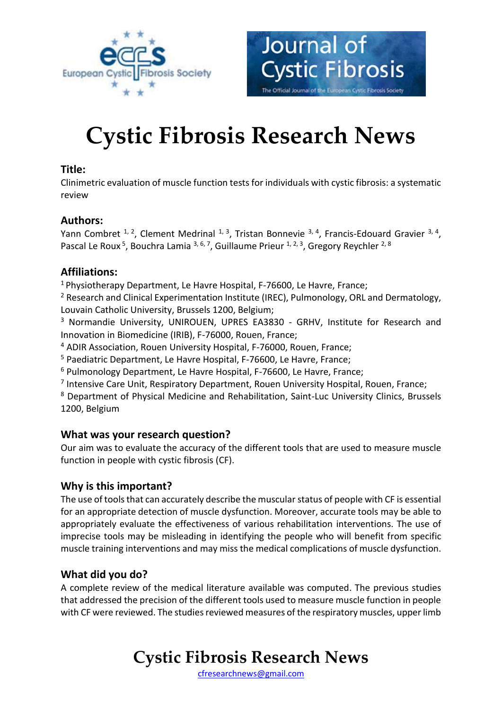

# **Cystic Fibrosis Research News**

Journal of

**Cystic Fibrosis** 

The Official Journal of the European Cystic Fibrosis Society

### **Title:**

Clinimetric evaluation of muscle function tests for individuals with cystic fibrosis: a systematic review

### **Authors:**

Yann Combret  $1, 2$ , Clement Medrinal  $1, 3$ , Tristan Bonnevie  $3, 4$ , Francis-Edouard Gravier  $3, 4$ , Pascal Le Roux<sup>5</sup>, Bouchra Lamia<sup>3, 6, 7</sup>, Guillaume Prieur <sup>1, 2, 3</sup>, Gregory Reychler <sup>2, 8</sup>

### **Affiliations:**

<sup>1</sup>Physiotherapy Department, Le Havre Hospital, F-76600, Le Havre, France;

<sup>2</sup> Research and Clinical Experimentation Institute (IREC), Pulmonology, ORL and Dermatology, Louvain Catholic University, Brussels 1200, Belgium;

<sup>3</sup> Normandie University, UNIROUEN, UPRES EA3830 - GRHV, Institute for Research and Innovation in Biomedicine (IRIB), F-76000, Rouen, France;

<sup>4</sup> ADIR Association, Rouen University Hospital, F-76000, Rouen, France;

<sup>5</sup> Paediatric Department, Le Havre Hospital, F-76600, Le Havre, France;

<sup>6</sup> Pulmonology Department, Le Havre Hospital, F-76600, Le Havre, France;

<sup>7</sup> Intensive Care Unit, Respiratory Department, Rouen University Hospital, Rouen, France;

<sup>8</sup> Department of Physical Medicine and Rehabilitation, Saint-Luc University Clinics, Brussels 1200, Belgium

#### **What was your research question?**

Our aim was to evaluate the accuracy of the different tools that are used to measure muscle function in people with cystic fibrosis (CF).

### **Why is this important?**

The use of tools that can accurately describe the muscular status of people with CF is essential for an appropriate detection of muscle dysfunction. Moreover, accurate tools may be able to appropriately evaluate the effectiveness of various rehabilitation interventions. The use of imprecise tools may be misleading in identifying the people who will benefit from specific muscle training interventions and may miss the medical complications of muscle dysfunction.

### **What did you do?**

A complete review of the medical literature available was computed. The previous studies that addressed the precision of the different tools used to measure muscle function in people with CF were reviewed. The studies reviewed measures of the respiratory muscles, upper limb

# **Cystic Fibrosis Research News**

[cfresearchnews@gmail.com](mailto:cfresearchnews@gmail.com)